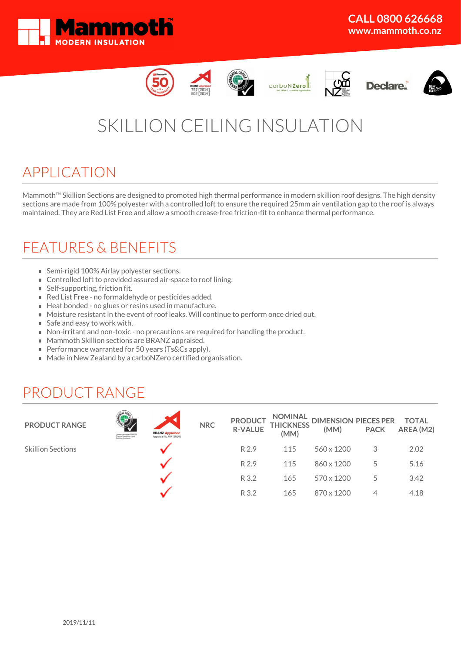













# SKILLION CEILING INSULATION

### APPLICATION

Mammoth<sup>™</sup> Skillion Sections are designed to promoted high thermal performance in modern skillion roof designs. The high density sections are made from 100% polyester with a controlled loft to ensure the required 25mm air ventilation gap to the roof is always maintained. They are Red List Free and allow a smooth crease-free friction-fit to enhance thermal performance.

### FEATURES & BENEFITS

- Semi-rigid 100% Airlay polyester sections.
- Controlled loft to provided assured air-space to roof lining.
- Self-supporting, friction fit.
- Red List Free no formaldehyde or pesticides added.
- Heat bonded no glues or resins used in manufacture.
- Moisture resistant in the event of roof leaks. Will continue to perform once dried out.
- Safe and easy to work with.
- Non-irritant and non-toxic no precautions are required for handling the product.
- **Mammoth Skillion sections are BRANZ appraised.**
- Performance warranted for 50 years (Ts&Cs apply).
- Made in New Zealand by a carboNZero certified organisation.

## PRODUCT RANGE

| <b>PRODUCT RANGE</b>     | Licence number 2510000<br>Thermal (resistive-type)<br>Building insulants | <b>BRANZ Appraised</b><br>Appraisal No.797 [2014] | <b>NRC</b> | <b>PRODUCT</b><br><b>R-VALUE</b> | (MM) |            |   |      |
|--------------------------|--------------------------------------------------------------------------|---------------------------------------------------|------------|----------------------------------|------|------------|---|------|
| <b>Skillion Sections</b> |                                                                          |                                                   |            | R 2.9                            | 115  | 560 x 1200 | 3 | 2.02 |
|                          |                                                                          |                                                   |            | R 2.9                            | 115  | 860 x 1200 | 5 | 5.16 |
|                          |                                                                          |                                                   |            | R 3.2                            | 165  | 570 x 1200 | 5 | 3.42 |
|                          |                                                                          |                                                   |            | R 3.2                            | 165  | 870 x 1200 |   | 4.18 |